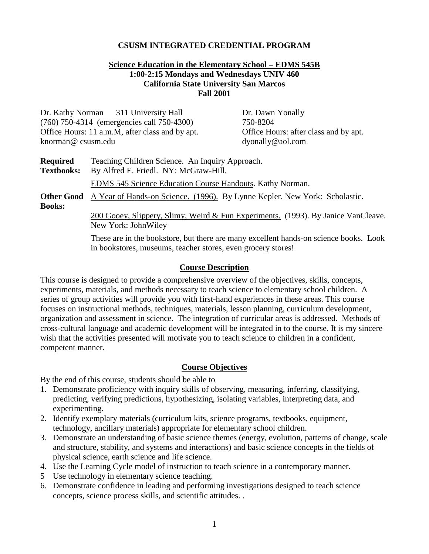## **CSUSM INTEGRATED CREDENTIAL PROGRAM**

## **Science Education in the Elementary School – EDMS 545B 1:00-2:15 Mondays and Wednesdays UNIV 460 California State University San Marcos Fall 2001**

| knorman@csusm.edu                                                                                                                | Dr. Kathy Norman 311 University Hall<br>(760) 750-4314 (emergencies call 750-4300)<br>Office Hours: 11 a.m.M, after class and by apt. | Dr. Dawn Yonally<br>750-8204<br>Office Hours: after class and by apt.<br>dyonally@aol.com |  |
|----------------------------------------------------------------------------------------------------------------------------------|---------------------------------------------------------------------------------------------------------------------------------------|-------------------------------------------------------------------------------------------|--|
| <b>Required</b><br>Teaching Children Science. An Inquiry Approach.<br><b>Textbooks:</b><br>By Alfred E. Friedl. NY: McGraw-Hill. |                                                                                                                                       |                                                                                           |  |
|                                                                                                                                  | <b>EDMS</b> 545 Science Education Course Handouts. Kathy Norman.                                                                      |                                                                                           |  |
| A Year of Hands-on Science. (1996). By Lynne Kepler. New York: Scholastic.<br><b>Other Good</b><br><b>Books:</b>                 |                                                                                                                                       |                                                                                           |  |
| 200 Gooey, Slippery, Slimy, Weird & Fun Experiments. (1993). By Janice VanCleave.<br>New York: JohnWiley                         |                                                                                                                                       |                                                                                           |  |
|                                                                                                                                  | in bookstores, museums, teacher stores, even grocery stores!                                                                          | These are in the bookstore, but there are many excellent hands-on science books. Look     |  |

## **Course Description**

This course is designed to provide a comprehensive overview of the objectives, skills, concepts, experiments, materials, and methods necessary to teach science to elementary school children. A series of group activities will provide you with first-hand experiences in these areas. This course focuses on instructional methods, techniques, materials, lesson planning, curriculum development, organization and assessment in science. The integration of curricular areas is addressed. Methods of cross-cultural language and academic development will be integrated in to the course. It is my sincere wish that the activities presented will motivate you to teach science to children in a confident, competent manner.

## **Course Objectives**

By the end of this course, students should be able to

- 1. Demonstrate proficiency with inquiry skills of observing, measuring, inferring, classifying, predicting, verifying predictions, hypothesizing, isolating variables, interpreting data, and experimenting.
- 2. Identify exemplary materials (curriculum kits, science programs, textbooks, equipment, technology, ancillary materials) appropriate for elementary school children.
- 3. Demonstrate an understanding of basic science themes (energy, evolution, patterns of change, scale and structure, stability, and systems and interactions) and basic science concepts in the fields of physical science, earth science and life science.
- 4. Use the Learning Cycle model of instruction to teach science in a contemporary manner.
- 5 Use technology in elementary science teaching.
- 6. Demonstrate confidence in leading and performing investigations designed to teach science concepts, science process skills, and scientific attitudes. .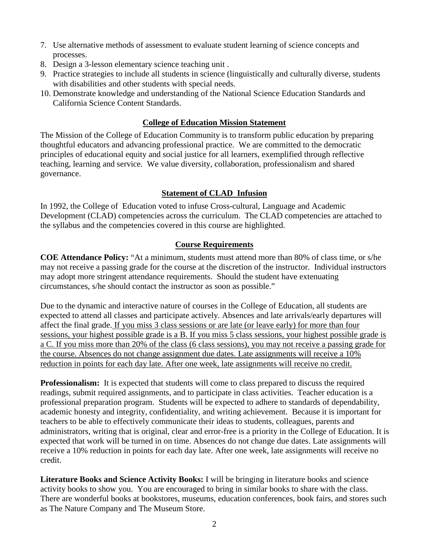- 7. Use alternative methods of assessment to evaluate student learning of science concepts and processes.
- 8. Design a 3-lesson elementary science teaching unit .
- 9. Practice strategies to include all students in science (linguistically and culturally diverse, students with disabilities and other students with special needs.
- 10. Demonstrate knowledge and understanding of the National Science Education Standards and California Science Content Standards.

# **College of Education Mission Statement**

The Mission of the College of Education Community is to transform public education by preparing thoughtful educators and advancing professional practice. We are committed to the democratic principles of educational equity and social justice for all learners, exemplified through reflective teaching, learning and service. We value diversity, collaboration, professionalism and shared governance.

# **Statement of CLAD Infusion**

In 1992, the College of Education voted to infuse Cross-cultural, Language and Academic Development (CLAD) competencies across the curriculum. The CLAD competencies are attached to the syllabus and the competencies covered in this course are highlighted.

# **Course Requirements**

**COE Attendance Policy:** "At a minimum, students must attend more than 80% of class time, or s/he may not receive a passing grade for the course at the discretion of the instructor. Individual instructors may adopt more stringent attendance requirements. Should the student have extenuating circumstances, s/he should contact the instructor as soon as possible."

Due to the dynamic and interactive nature of courses in the College of Education, all students are expected to attend all classes and participate actively. Absences and late arrivals/early departures will affect the final grade. If you miss 3 class sessions or are late (or leave early) for more than four sessions, your highest possible grade is a B. If you miss 5 class sessions, your highest possible grade is a C. If you miss more than 20% of the class (6 class sessions), you may not receive a passing grade for the course. Absences do not change assignment due dates. Late assignments will receive a 10% reduction in points for each day late. After one week, late assignments will receive no credit.

**Professionalism:** It is expected that students will come to class prepared to discuss the required readings, submit required assignments, and to participate in class activities. Teacher education is a professional preparation program. Students will be expected to adhere to standards of dependability, academic honesty and integrity, confidentiality, and writing achievement. Because it is important for teachers to be able to effectively communicate their ideas to students, colleagues, parents and administrators, writing that is original, clear and error-free is a priority in the College of Education. It is expected that work will be turned in on time. Absences do not change due dates. Late assignments will receive a 10% reduction in points for each day late. After one week, late assignments will receive no credit.

**Literature Books and Science Activity Books:** I will be bringing in literature books and science activity books to show you. You are encouraged to bring in similar books to share with the class. There are wonderful books at bookstores, museums, education conferences, book fairs, and stores such as The Nature Company and The Museum Store.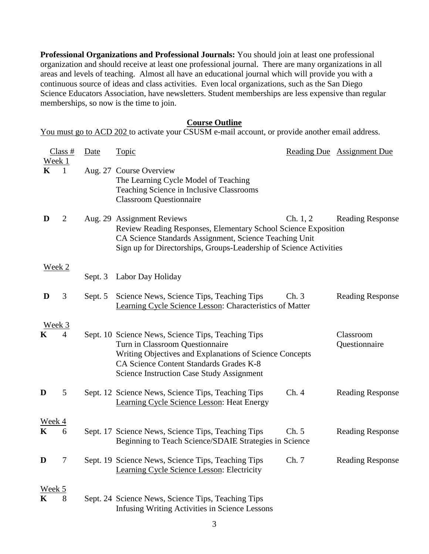**Professional Organizations and Professional Journals:** You should join at least one professional organization and should receive at least one professional journal. There are many organizations in all areas and levels of teaching. Almost all have an educational journal which will provide you with a continuous source of ideas and class activities. Even local organizations, such as the San Diego Science Educators Association, have newsletters. Student memberships are less expensive than regular memberships, so now is the time to join.

#### **Course Outline**

You must go to ACD 202 to activate your CSUSM e-mail account, or provide another email address.

|                       | Class#         | Date    | <b>Topic</b>                                                                                                                                                                                                                                    |          | Reading Due Assignment Due |
|-----------------------|----------------|---------|-------------------------------------------------------------------------------------------------------------------------------------------------------------------------------------------------------------------------------------------------|----------|----------------------------|
| Week 1<br>$\mathbf K$ | $\mathbf{1}$   |         | Aug. 27 Course Overview<br>The Learning Cycle Model of Teaching<br>Teaching Science in Inclusive Classrooms<br><b>Classroom Questionnaire</b>                                                                                                   |          |                            |
| D                     | $\overline{2}$ |         | Aug. 29 Assignment Reviews<br>Review Reading Responses, Elementary School Science Exposition<br>CA Science Standards Assignment, Science Teaching Unit<br>Sign up for Directorships, Groups-Leadership of Science Activities                    | Ch. 1, 2 | <b>Reading Response</b>    |
| <u>Week 2</u>         |                |         |                                                                                                                                                                                                                                                 |          |                            |
|                       |                | Sept. 3 | Labor Day Holiday                                                                                                                                                                                                                               |          |                            |
| D                     | 3              | Sept. 5 | Science News, Science Tips, Teaching Tips<br>Learning Cycle Science Lesson: Characteristics of Matter                                                                                                                                           | Ch.3     | <b>Reading Response</b>    |
| Week 3<br>K           | 4              |         | Sept. 10 Science News, Science Tips, Teaching Tips<br>Turn in Classroom Questionnaire<br>Writing Objectives and Explanations of Science Concepts<br>CA Science Content Standards Grades K-8<br><b>Science Instruction Case Study Assignment</b> |          | Classroom<br>Questionnaire |
| D                     | 5              |         | Sept. 12 Science News, Science Tips, Teaching Tips<br>Learning Cycle Science Lesson: Heat Energy                                                                                                                                                | Ch.4     | <b>Reading Response</b>    |
| <u>Week 4</u>         |                |         |                                                                                                                                                                                                                                                 |          |                            |
| $\mathbf K$           | 6              |         | Sept. 17 Science News, Science Tips, Teaching Tips<br>Beginning to Teach Science/SDAIE Strategies in Science                                                                                                                                    | Ch. 5    | <b>Reading Response</b>    |
| D                     | 7              |         | Sept. 19 Science News, Science Tips, Teaching Tips<br>Learning Cycle Science Lesson: Electricity                                                                                                                                                | Ch. 7    | <b>Reading Response</b>    |
| Week 5<br>K           | 8              |         | Sept. 24 Science News, Science Tips, Teaching Tips<br><b>Infusing Writing Activities in Science Lessons</b>                                                                                                                                     |          |                            |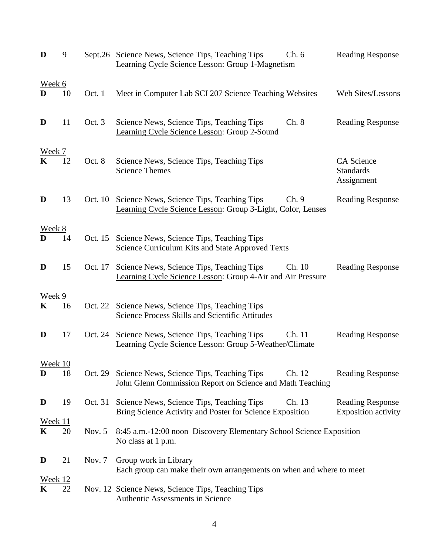| D                   | 9  |          | Sept.26 Science News, Science Tips, Teaching Tips<br>Learning Cycle Science Lesson: Group 1-Magnetism            | Ch.6   | <b>Reading Response</b>                        |
|---------------------|----|----------|------------------------------------------------------------------------------------------------------------------|--------|------------------------------------------------|
| Week 6<br>D         | 10 | Oct. 1   | Meet in Computer Lab SCI 207 Science Teaching Websites                                                           |        | Web Sites/Lessons                              |
| D                   | 11 | Oct. 3   | Science News, Science Tips, Teaching Tips<br>Learning Cycle Science Lesson: Group 2-Sound                        | Ch. 8  | <b>Reading Response</b>                        |
| <u>Week 7</u>       | 12 | Oct. 8   | Science News, Science Tips, Teaching Tips<br><b>Science Themes</b>                                               |        | CA Science<br><b>Standards</b><br>Assignment   |
| D                   | 13 |          | Oct. 10 Science News, Science Tips, Teaching Tips<br>Learning Cycle Science Lesson: Group 3-Light, Color, Lenses | Ch.9   | <b>Reading Response</b>                        |
| Week 8<br>D         | 14 | Oct. 15  | Science News, Science Tips, Teaching Tips<br>Science Curriculum Kits and State Approved Texts                    |        |                                                |
| D                   | 15 | Oct. 17  | Science News, Science Tips, Teaching Tips<br>Learning Cycle Science Lesson: Group 4-Air and Air Pressure         | Ch. 10 | <b>Reading Response</b>                        |
| Week 9<br>K         | 16 | Oct. 22  | Science News, Science Tips, Teaching Tips<br>Science Process Skills and Scientific Attitudes                     |        |                                                |
| D                   | 17 | Oct. 24  | Science News, Science Tips, Teaching Tips<br>Learning Cycle Science Lesson: Group 5-Weather/Climate              | Ch. 11 | <b>Reading Response</b>                        |
| Week 10<br>D        | 18 | Oct. 29  | Science News, Science Tips, Teaching Tips<br>John Glenn Commission Report on Science and Math Teaching           | Ch. 12 | <b>Reading Response</b>                        |
| D                   | 19 | Oct. 31  | Science News, Science Tips, Teaching Tips<br>Bring Science Activity and Poster for Science Exposition            | Ch. 13 | <b>Reading Response</b><br>Exposition activity |
| <u>Week 11</u><br>K | 20 | Nov. $5$ | 8:45 a.m.-12:00 noon Discovery Elementary School Science Exposition<br>No class at 1 p.m.                        |        |                                                |
| D                   | 21 | Nov. 7   | Group work in Library<br>Each group can make their own arrangements on when and where to meet                    |        |                                                |
| <u>Week 12</u><br>K | 22 |          | Nov. 12 Science News, Science Tips, Teaching Tips<br>Authentic Assessments in Science                            |        |                                                |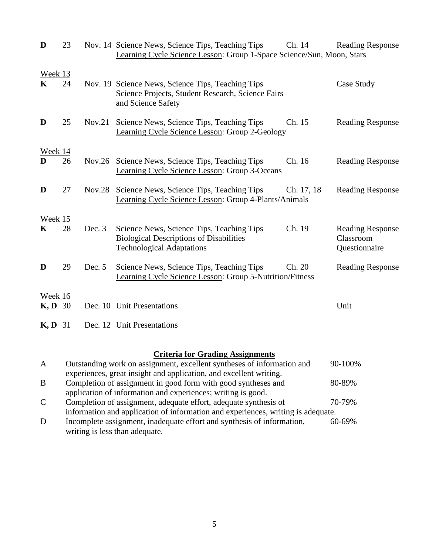| D                    | 23 |          | Nov. 14 Science News, Science Tips, Teaching Tips<br>Learning Cycle Science Lesson: Group 1-Space Science/Sun, Moon, Stars      | Ch. 14     | <b>Reading Response</b>                               |
|----------------------|----|----------|---------------------------------------------------------------------------------------------------------------------------------|------------|-------------------------------------------------------|
| Week 13<br>K         | 24 |          | Nov. 19 Science News, Science Tips, Teaching Tips<br>Science Projects, Student Research, Science Fairs<br>and Science Safety    |            | Case Study                                            |
| D                    | 25 | Nov.21   | Science News, Science Tips, Teaching Tips<br>Learning Cycle Science Lesson: Group 2-Geology                                     | Ch. 15     | <b>Reading Response</b>                               |
| Week 14<br>D         | 26 | Nov.26   | Science News, Science Tips, Teaching Tips<br>Learning Cycle Science Lesson: Group 3-Oceans                                      | Ch. 16     | <b>Reading Response</b>                               |
| D                    | 27 | Nov.28   | Science News, Science Tips, Teaching Tips<br>Learning Cycle Science Lesson: Group 4-Plants/Animals                              | Ch. 17, 18 | <b>Reading Response</b>                               |
| Week 15<br>K         | 28 | Dec. $3$ | Science News, Science Tips, Teaching Tips<br><b>Biological Descriptions of Disabilities</b><br><b>Technological Adaptations</b> | Ch. 19     | <b>Reading Response</b><br>Classroom<br>Questionnaire |
| D                    | 29 | Dec. $5$ | Science News, Science Tips, Teaching Tips<br>Learning Cycle Science Lesson: Group 5-Nutrition/Fitness                           | Ch. 20     | <b>Reading Response</b>                               |
| Week 16<br>$K, D$ 30 |    |          | Dec. 10 Unit Presentations                                                                                                      |            | Unit                                                  |
| <b>K, D</b> 31       |    |          | Dec. 12 Unit Presentations                                                                                                      |            |                                                       |

# **Criteria for Grading Assignments**

| $\mathbf{A}$  | Outstanding work on assignment, excellent syntheses of information and           | 90-100%     |
|---------------|----------------------------------------------------------------------------------|-------------|
|               | experiences, great insight and application, and excellent writing.               |             |
| B             | Completion of assignment in good form with good syntheses and                    | 80-89%      |
|               | application of information and experiences; writing is good.                     |             |
| $\mathcal{C}$ | Completion of assignment, adequate effort, adequate synthesis of                 | 70-79%      |
|               | information and application of information and experiences, writing is adequate. |             |
| D             | Incomplete assignment, inadequate effort and synthesis of information,           | $60 - 69\%$ |
|               | writing is less than adequate.                                                   |             |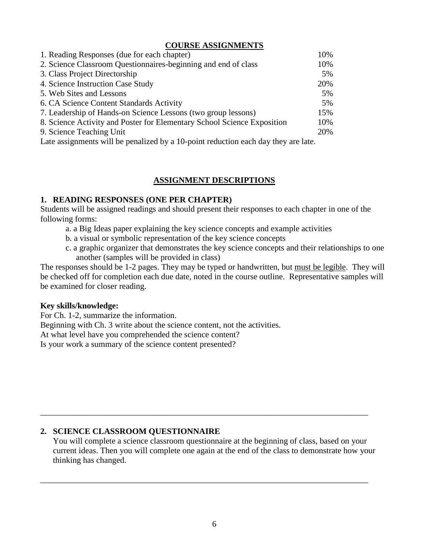## **COURSE ASSIGNMENTS**

| 1. Reading Responses (due for each chapter)                                        | 10% |
|------------------------------------------------------------------------------------|-----|
| 2. Science Classroom Questionnaires-beginning and end of class                     | 10% |
| 3. Class Project Directorship                                                      | 5%  |
| 4. Science Instruction Case Study                                                  | 20% |
| 5. Web Sites and Lessons                                                           | 5%  |
| 6. CA Science Content Standards Activity                                           | 5%  |
| 7. Leadership of Hands-on Science Lessons (two group lessons)                      | 15% |
| 8. Science Activity and Poster for Elementary School Science Exposition            | 10% |
| 9. Science Teaching Unit                                                           | 20% |
| Late assignments will be penalized by a 10-point reduction each day they are late. |     |

## **ASSIGNMENT DESCRIPTIONS**

## **1. READING RESPONSES (ONE PER CHAPTER)**

Students will be assigned readings and should present their responses to each chapter in one of the following forms:

- a. a Big Ideas paper explaining the key science concepts and example activities
- b. a visual or symbolic representation of the key science concepts
- c. a graphic organizer that demonstrates the key science concepts and their relationships to one another (samples will be provided in class)

The responses should be 1-2 pages. They may be typed or handwritten, but must be legible. They will be checked off for completion each due date, noted in the course outline. Representative samples will be examined for closer reading.

## **Key skills/knowledge:**

For Ch. 1-2, summarize the information.

Beginning with Ch. 3 write about the science content, not the activities.

At what level have you comprehended the science content?

Is your work a summary of the science content presented?

## **2. SCIENCE CLASSROOM QUESTIONNAIRE**

You will complete a science classroom questionnaire at the beginning of class, based on your current ideas. Then you will complete one again at the end of the class to demonstrate how your thinking has changed.

\_\_\_\_\_\_\_\_\_\_\_\_\_\_\_\_\_\_\_\_\_\_\_\_\_\_\_\_\_\_\_\_\_\_\_\_\_\_\_\_\_\_\_\_\_\_\_\_\_\_\_\_\_\_\_\_\_\_\_\_\_\_\_\_\_\_\_\_\_\_\_\_\_\_\_\_\_\_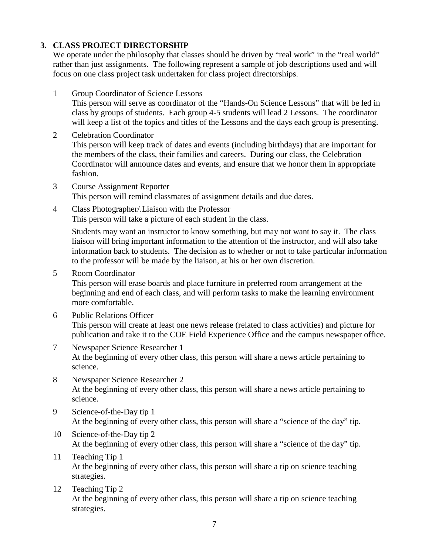## **3. CLASS PROJECT DIRECTORSHIP**

We operate under the philosophy that classes should be driven by "real work" in the "real world" rather than just assignments. The following represent a sample of job descriptions used and will focus on one class project task undertaken for class project directorships.

- 1 Group Coordinator of Science Lessons This person will serve as coordinator of the "Hands-On Science Lessons" that will be led in class by groups of students. Each group 4-5 students will lead 2 Lessons. The coordinator will keep a list of the topics and titles of the Lessons and the days each group is presenting.
- 2 Celebration Coordinator This person will keep track of dates and events (including birthdays) that are important for the members of the class, their families and careers. During our class, the Celebration Coordinator will announce dates and events, and ensure that we honor them in appropriate fashion.
- 3 Course Assignment Reporter This person will remind classmates of assignment details and due dates.
- 4 Class Photographer/.Liaison with the Professor This person will take a picture of each student in the class.

Students may want an instructor to know something, but may not want to say it. The class liaison will bring important information to the attention of the instructor, and will also take information back to students. The decision as to whether or not to take particular information to the professor will be made by the liaison, at his or her own discretion.

5 Room Coordinator

This person will erase boards and place furniture in preferred room arrangement at the beginning and end of each class, and will perform tasks to make the learning environment more comfortable.

6 Public Relations Officer

This person will create at least one news release (related to class activities) and picture for publication and take it to the COE Field Experience Office and the campus newspaper office.

- 7 Newspaper Science Researcher 1 At the beginning of every other class, this person will share a news article pertaining to science.
- 8 Newspaper Science Researcher 2 At the beginning of every other class, this person will share a news article pertaining to science.
- 9 Science-of-the-Day tip 1 At the beginning of every other class, this person will share a "science of the day" tip.
- 10 Science-of-the-Day tip 2 At the beginning of every other class, this person will share a "science of the day" tip.
- 11 Teaching Tip 1 At the beginning of every other class, this person will share a tip on science teaching strategies.
- 12 Teaching Tip 2 At the beginning of every other class, this person will share a tip on science teaching strategies.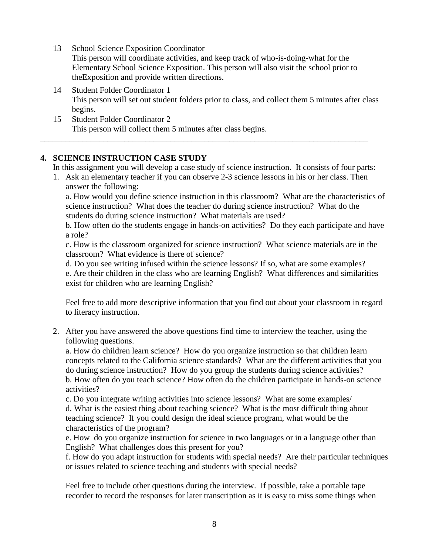13 School Science Exposition Coordinator

This person will coordinate activities, and keep track of who-is-doing-what for the Elementary School Science Exposition. This person will also visit the school prior to theExposition and provide written directions.

- 14 Student Folder Coordinator 1 This person will set out student folders prior to class, and collect them 5 minutes after class begins.
- 15 Student Folder Coordinator 2 This person will collect them 5 minutes after class begins.

# **4. SCIENCE INSTRUCTION CASE STUDY**

In this assignment you will develop a case study of science instruction. It consists of four parts:

1. Ask an elementary teacher if you can observe 2-3 science lessons in his or her class. Then answer the following:

\_\_\_\_\_\_\_\_\_\_\_\_\_\_\_\_\_\_\_\_\_\_\_\_\_\_\_\_\_\_\_\_\_\_\_\_\_\_\_\_\_\_\_\_\_\_\_\_\_\_\_\_\_\_\_\_\_\_\_\_\_\_\_\_\_\_\_\_\_\_\_\_\_\_\_\_\_\_

a. How would you define science instruction in this classroom? What are the characteristics of science instruction? What does the teacher do during science instruction? What do the students do during science instruction? What materials are used?

b. How often do the students engage in hands-on activities? Do they each participate and have a role?

c. How is the classroom organized for science instruction? What science materials are in the classroom? What evidence is there of science?

d. Do you see writing infused within the science lessons? If so, what are some examples? e. Are their children in the class who are learning English? What differences and similarities exist for children who are learning English?

Feel free to add more descriptive information that you find out about your classroom in regard to literacy instruction.

2. After you have answered the above questions find time to interview the teacher, using the following questions.

a. How do children learn science? How do you organize instruction so that children learn concepts related to the California science standards? What are the different activities that you do during science instruction? How do you group the students during science activities? b. How often do you teach science? How often do the children participate in hands-on science activities?

c. Do you integrate writing activities into science lessons? What are some examples/

d. What is the easiest thing about teaching science? What is the most difficult thing about teaching science? If you could design the ideal science program, what would be the characteristics of the program?

e. How do you organize instruction for science in two languages or in a language other than English? What challenges does this present for you?

f. How do you adapt instruction for students with special needs? Are their particular techniques or issues related to science teaching and students with special needs?

Feel free to include other questions during the interview. If possible, take a portable tape recorder to record the responses for later transcription as it is easy to miss some things when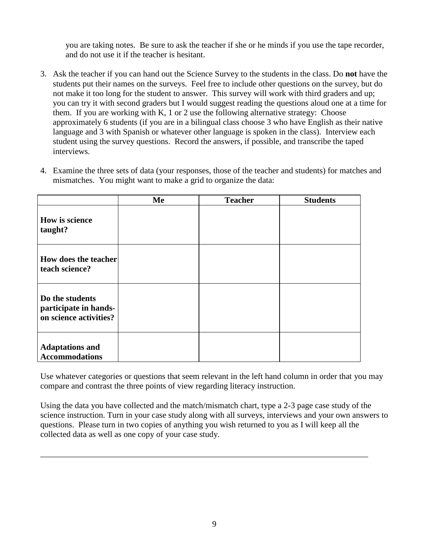you are taking notes. Be sure to ask the teacher if she or he minds if you use the tape recorder, and do not use it if the teacher is hesitant.

- 3. Ask the teacher if you can hand out the Science Survey to the students in the class. Do **not** have the students put their names on the surveys. Feel free to include other questions on the survey, but do not make it too long for the student to answer. This survey will work with third graders and up; you can try it with second graders but I would suggest reading the questions aloud one at a time for them. If you are working with K, 1 or 2 use the following alternative strategy: Choose approximately 6 students (if you are in a bilingual class choose 3 who have English as their native language and 3 with Spanish or whatever other language is spoken in the class). Interview each student using the survey questions. Record the answers, if possible, and transcribe the taped interviews.
- 4. Examine the three sets of data (your responses, those of the teacher and students) for matches and mismatches. You might want to make a grid to organize the data:

|                                                                    | Me | <b>Teacher</b> | <b>Students</b> |
|--------------------------------------------------------------------|----|----------------|-----------------|
| How is science<br>taught?                                          |    |                |                 |
| How does the teacher<br>teach science?                             |    |                |                 |
| Do the students<br>participate in hands-<br>on science activities? |    |                |                 |
| <b>Adaptations and</b><br><b>Accommodations</b>                    |    |                |                 |

Use whatever categories or questions that seem relevant in the left hand column in order that you may compare and contrast the three points of view regarding literacy instruction.

Using the data you have collected and the match/mismatch chart, type a 2-3 page case study of the science instruction. Turn in your case study along with all surveys, interviews and your own answers to questions.Please turn in two copies of anything you wish returned to you as I will keep all the collected data as well as one copy of your case study.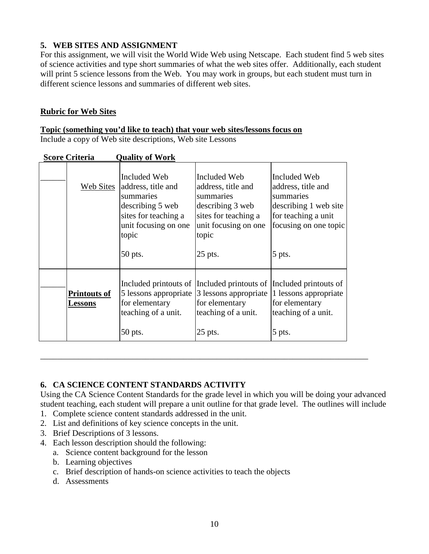# **5. WEB SITES AND ASSIGNMENT**

For this assignment, we will visit the World Wide Web using Netscape. Each student find 5 web sites of science activities and type short summaries of what the web sites offer. Additionally, each student will print 5 science lessons from the Web. You may work in groups, but each student must turn in different science lessons and summaries of different web sites.

## **Rubric for Web Sites**

#### **Topic (something you'd like to teach) that your web sites/lessons focus on**  Include a copy of Web site descriptions, Web site Lessons

| ocore Criteria                        | YUULLU YI YY VLIX                                                                                                                       |                                                                                                                                                                        |                                                                                                                                    |
|---------------------------------------|-----------------------------------------------------------------------------------------------------------------------------------------|------------------------------------------------------------------------------------------------------------------------------------------------------------------------|------------------------------------------------------------------------------------------------------------------------------------|
| <b>Web Sites</b>                      | Included Web<br>address, title and<br>summaries<br>describing 5 web<br>sites for teaching a<br>unit focusing on one<br>topic<br>50 pts. | Included Web<br>address, title and<br>summaries<br>describing 3 web<br>sites for teaching a<br>unit focusing on one<br>topic<br>$25$ pts.                              | Included Web<br>address, title and<br>summaries<br>describing 1 web site<br>for teaching a unit<br>focusing on one topic<br>5 pts. |
| <b>Printouts of</b><br><u>Lessons</u> | 5 lessons appropriate<br>for elementary<br>teaching of a unit.<br>50 pts.                                                               | Included printouts of Included printouts of Included printouts of<br>3 lessons appropriate 1 lessons appropriate<br>for elementary<br>teaching of a unit.<br>$25$ pts. | for elementary<br>teaching of a unit.<br>5 pts.                                                                                    |

**Score Criteria Quality of Work**

# **6. CA SCIENCE CONTENT STANDARDS ACTIVITY**

Using the CA Science Content Standards for the grade level in which you will be doing your advanced student teaching, each student will prepare a unit outline for that grade level. The outlines will include

- 1. Complete science content standards addressed in the unit.
- 2. List and definitions of key science concepts in the unit.
- 3. Brief Descriptions of 3 lessons.
- 4. Each lesson description should the following:
	- a. Science content background for the lesson
	- b. Learning objectives
	- c. Brief description of hands-on science activities to teach the objects
	- d. Assessments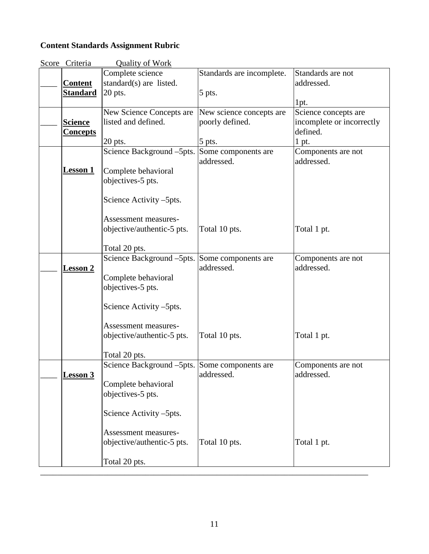# **Content Standards Assignment Rubric**

| <b>Quality of Work</b><br>Score Criteria |                                               |                           |                                  |  |  |
|------------------------------------------|-----------------------------------------------|---------------------------|----------------------------------|--|--|
|                                          | Complete science                              | Standards are incomplete. | Standards are not                |  |  |
| <b>Content</b>                           | standard(s) are listed.                       |                           | addressed.                       |  |  |
| <b>Standard</b>                          | 20 pts.                                       | 5 pts.                    |                                  |  |  |
|                                          |                                               |                           | 1pt.                             |  |  |
|                                          | New Science Concepts are                      | New science concepts are  | Science concepts are             |  |  |
| <b>Science</b>                           | listed and defined.                           | poorly defined.           | incomplete or incorrectly        |  |  |
| <b>Concepts</b>                          |                                               |                           | defined.                         |  |  |
|                                          | $20$ pts.                                     | $5$ pts.                  | 1 pt.                            |  |  |
|                                          | Science Background –5pts. Some components are |                           | Components are not               |  |  |
|                                          |                                               | addressed.                | addressed.                       |  |  |
| <b>Lesson 1</b>                          | Complete behavioral                           |                           |                                  |  |  |
|                                          | objectives-5 pts.                             |                           |                                  |  |  |
|                                          |                                               |                           |                                  |  |  |
|                                          | Science Activity –5pts.                       |                           |                                  |  |  |
|                                          |                                               |                           |                                  |  |  |
|                                          | <b>Assessment measures-</b>                   |                           |                                  |  |  |
|                                          | objective/authentic-5 pts.                    | Total 10 pts.             | Total 1 pt.                      |  |  |
|                                          |                                               |                           |                                  |  |  |
|                                          | Total 20 pts.                                 |                           |                                  |  |  |
|                                          | Science Background –5pts. Some components are |                           | Components are not               |  |  |
|                                          |                                               | addressed.                | addressed.                       |  |  |
| <u>Lesson 2</u>                          | Complete behavioral                           |                           |                                  |  |  |
|                                          | objectives-5 pts.                             |                           |                                  |  |  |
|                                          |                                               |                           |                                  |  |  |
|                                          | Science Activity –5pts.                       |                           |                                  |  |  |
|                                          |                                               |                           |                                  |  |  |
|                                          | <b>Assessment measures-</b>                   |                           |                                  |  |  |
|                                          | objective/authentic-5 pts.                    | Total 10 pts.             | Total 1 pt.                      |  |  |
|                                          |                                               |                           |                                  |  |  |
|                                          | Total 20 pts.                                 |                           |                                  |  |  |
|                                          |                                               |                           |                                  |  |  |
| <b>Lesson 3</b>                          | Science Background –5pts. Some components are | addressed.                | Components are not<br>addressed. |  |  |
|                                          | Complete behavioral                           |                           |                                  |  |  |
|                                          |                                               |                           |                                  |  |  |
|                                          | objectives-5 pts.                             |                           |                                  |  |  |
|                                          | Science Activity -5pts.                       |                           |                                  |  |  |
|                                          |                                               |                           |                                  |  |  |
|                                          | <b>Assessment measures-</b>                   |                           |                                  |  |  |
|                                          | objective/authentic-5 pts.                    | Total 10 pts.             | Total 1 pt.                      |  |  |
|                                          |                                               |                           |                                  |  |  |
|                                          |                                               |                           |                                  |  |  |
|                                          |                                               |                           |                                  |  |  |
|                                          | Total 20 pts.                                 |                           |                                  |  |  |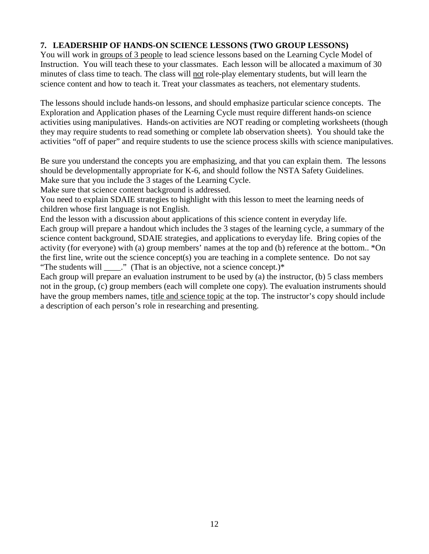# **7. LEADERSHIP OF HANDS-ON SCIENCE LESSONS (TWO GROUP LESSONS)**

You will work in groups of 3 people to lead science lessons based on the Learning Cycle Model of Instruction. You will teach these to your classmates. Each lesson will be allocated a maximum of 30 minutes of class time to teach. The class will not role-play elementary students, but will learn the science content and how to teach it. Treat your classmates as teachers, not elementary students.

The lessons should include hands-on lessons, and should emphasize particular science concepts. The Exploration and Application phases of the Learning Cycle must require different hands-on science activities using manipulatives. Hands-on activities are NOT reading or completing worksheets (though they may require students to read something or complete lab observation sheets). You should take the activities "off of paper" and require students to use the science process skills with science manipulatives.

Be sure you understand the concepts you are emphasizing, and that you can explain them. The lessons should be developmentally appropriate for K-6, and should follow the NSTA Safety Guidelines. Make sure that you include the 3 stages of the Learning Cycle.

Make sure that science content background is addressed.

You need to explain SDAIE strategies to highlight with this lesson to meet the learning needs of children whose first language is not English.

End the lesson with a discussion about applications of this science content in everyday life. Each group will prepare a handout which includes the 3 stages of the learning cycle, a summary of the science content background, SDAIE strategies, and applications to everyday life. Bring copies of the activity (for everyone) with (a) group members' names at the top and (b) reference at the bottom.. \*On the first line, write out the science concept(s) you are teaching in a complete sentence. Do not say "The students will  $\therefore$  " (That is an objective, not a science concept.)\*

Each group will prepare an evaluation instrument to be used by (a) the instructor, (b) 5 class members not in the group, (c) group members (each will complete one copy). The evaluation instruments should have the group members names, title and science topic at the top. The instructor's copy should include a description of each person's role in researching and presenting.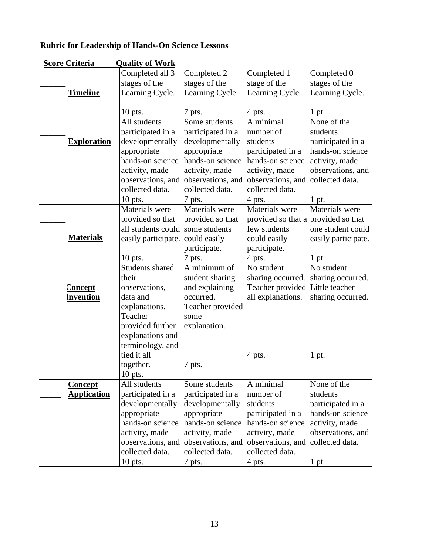# **Rubric for Leadership of Hands-On Science Lessons**

| <b>Score Criteria</b> | <b>Quality of Work</b> |                   |                                     |                     |
|-----------------------|------------------------|-------------------|-------------------------------------|---------------------|
|                       | Completed all 3        | Completed 2       | Completed 1                         | Completed 0         |
|                       | stages of the          | stages of the     | stage of the                        | stages of the       |
| <u>Timeline</u>       | Learning Cycle.        | Learning Cycle.   | Learning Cycle.                     | Learning Cycle.     |
|                       |                        |                   |                                     |                     |
|                       | $10$ pts.              | 7 pts.            | 4 pts.                              | 1 pt.               |
|                       | All students           | Some students     | $A$ minimal                         | None of the         |
|                       | participated in a      | participated in a | number of                           | students            |
| <b>Exploration</b>    | developmentally        | developmentally   | students                            | participated in a   |
|                       | appropriate            | appropriate       | participated in a                   | hands-on science    |
|                       | hands-on science       | hands-on science  | hands-on science                    | activity, made      |
|                       | activity, made         | activity, made    | activity, made                      | observations, and   |
|                       | observations, and      | observations, and | observations, and                   | collected data.     |
|                       | collected data.        | collected data.   | collected data.                     |                     |
|                       | 10 pts.                | 7 pts.            | 4 pts.                              | 1 pt.               |
|                       | Materials were         | Materials were    | Materials were                      | Materials were      |
|                       | provided so that       | provided so that  | provided so that a provided so that |                     |
|                       | all students could     | some students     | few students                        | one student could   |
| <b>Materials</b>      | easily participate.    | could easily      | could easily                        | easily participate. |
|                       |                        | participate.      | participate.                        |                     |
|                       | $10$ pts.              | 7 pts.            | 4 pts.                              | $1$ pt.             |
|                       | Students shared        | A minimum of      | No student                          | No student          |
|                       | their                  | student sharing   | sharing occurred.                   | sharing occurred.   |
| <u>Concept</u>        | observations,          | and explaining    | Teacher provided                    | Little teacher      |
| <u>invention</u>      | data and               | occurred.         | all explanations.                   | sharing occurred.   |
|                       | explanations.          | Teacher provided  |                                     |                     |
|                       | Teacher                | some              |                                     |                     |
|                       | provided further       | explanation.      |                                     |                     |
|                       | explanations and       |                   |                                     |                     |
|                       | terminology, and       |                   |                                     |                     |
|                       | tied it all            |                   | 4 pts.                              | 1 pt.               |
|                       | together.              | 7 pts.            |                                     |                     |
|                       | 10 pts.                |                   |                                     |                     |
| <u>Concept</u>        | All students           | Some students     | A minimal                           | None of the         |
| <b>Application</b>    | participated in a      | participated in a | number of                           | students            |
|                       | developmentally        | developmentally   | students                            | participated in a   |
|                       | appropriate            | appropriate       | participated in a                   | hands-on science    |
|                       | hands-on science       | hands-on science  | hands-on science                    | activity, made      |
|                       | activity, made         | activity, made    | activity, made                      | observations, and   |
|                       | observations, and      | observations, and | observations, and                   | collected data.     |
|                       | collected data.        | collected data.   | collected data.                     |                     |
|                       | $10$ pts.              | 7 pts.            | 4 pts.                              | 1 pt.               |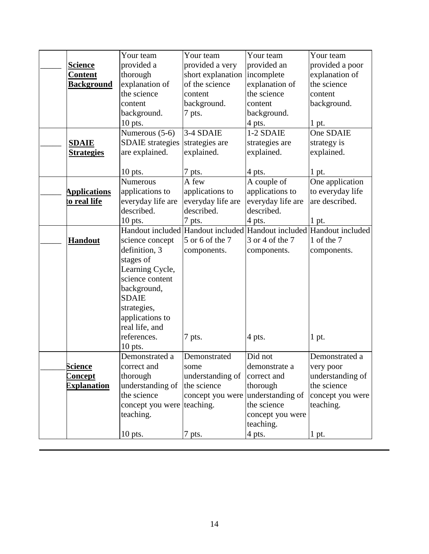|                     | Your team               | Your team         | Your team                       | Your team        |
|---------------------|-------------------------|-------------------|---------------------------------|------------------|
| <u>Science</u>      | provided a              | provided a very   | provided an                     | provided a poor  |
| Content             | thorough                | short explanation | incomplete                      | explanation of   |
| <b>Background</b>   | explanation of          | of the science    | explanation of                  | the science      |
|                     | the science             | content           | the science                     | content          |
|                     | content                 | background.       | content                         | background.      |
|                     | background.             | 7 pts.            | background.                     |                  |
|                     | 10 pts.                 |                   | 4 pts.                          | 1 pt.            |
|                     | Numerous (5-6)          | 3-4 SDAIE         | 1-2 SDAIE                       | One SDAIE        |
| <b>SDAIE</b>        | <b>SDAIE</b> strategies | strategies are    | strategies are                  | strategy is      |
| <u>Strategies</u>   | are explained.          | explained.        | explained.                      | explained.       |
|                     |                         |                   |                                 |                  |
|                     | 10 pts.                 | 7 pts.            | 4 pts.                          | 1 pt.            |
|                     | Numerous                | A few             | A couple of                     | One application  |
| <b>Applications</b> | applications to         | applications to   | applications to                 | to everyday life |
| to real life        | everyday life are       | everyday life are | everyday life are               | are described.   |
|                     | described.              | described.        | described.                      |                  |
|                     | $10$ pts.               | 7 pts.            | 4 pts.                          | 1 pt.            |
|                     | Handout included        | Handout included  | Handout included                | Handout included |
| <b>Handout</b>      | science concept         | 5 or 6 of the 7   | 3 or 4 of the 7                 | 1 of the 7       |
|                     | definition, 3           | components.       | components.                     | components.      |
|                     | stages of               |                   |                                 |                  |
|                     | Learning Cycle,         |                   |                                 |                  |
|                     | science content         |                   |                                 |                  |
|                     | background,             |                   |                                 |                  |
|                     | <b>SDAIE</b>            |                   |                                 |                  |
|                     | strategies,             |                   |                                 |                  |
|                     | applications to         |                   |                                 |                  |
|                     | real life, and          |                   |                                 |                  |
|                     | references.             | 7 pts.            | 4 pts.                          | 1 pt.            |
|                     | 10 pts.                 |                   |                                 |                  |
|                     | Demonstrated a          | Demonstrated      | Did not                         | Demonstrated a   |
| <b>Science</b>      | correct and             | some              | demonstrate a                   | very poor        |
| <u>Concept</u>      | thorough                | understanding of  | correct and                     | understanding of |
| <b>Explanation</b>  | understanding of        | the science       | thorough                        | the science      |
|                     | the science             | concept you were  | understanding of<br>the science | concept you were |
|                     | concept you were        | teaching.         |                                 | teaching.        |
|                     | teaching.               |                   | concept you were                |                  |
|                     |                         |                   | teaching.                       |                  |
|                     | $10$ pts.               | 7 pts.            | 4 pts.                          | 1 pt.            |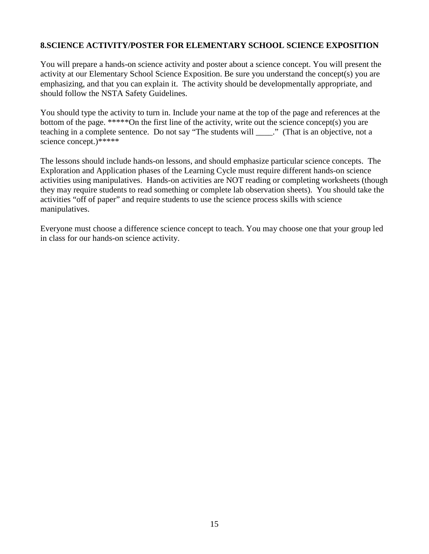## **8.SCIENCE ACTIVITY/POSTER FOR ELEMENTARY SCHOOL SCIENCE EXPOSITION**

You will prepare a hands-on science activity and poster about a science concept. You will present the activity at our Elementary School Science Exposition. Be sure you understand the concept(s) you are emphasizing, and that you can explain it. The activity should be developmentally appropriate, and should follow the NSTA Safety Guidelines.

You should type the activity to turn in. Include your name at the top of the page and references at the bottom of the page. \*\*\*\*\*On the first line of the activity, write out the science concept(s) you are teaching in a complete sentence. Do not say "The students will  $\cdots$ " (That is an objective, not a science concept.)\*\*\*\*\*

The lessons should include hands-on lessons, and should emphasize particular science concepts. The Exploration and Application phases of the Learning Cycle must require different hands-on science activities using manipulatives. Hands-on activities are NOT reading or completing worksheets (though they may require students to read something or complete lab observation sheets). You should take the activities "off of paper" and require students to use the science process skills with science manipulatives.

Everyone must choose a difference science concept to teach. You may choose one that your group led in class for our hands-on science activity.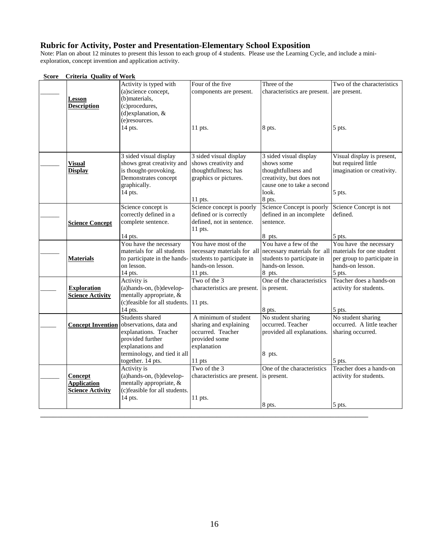#### **Rubric for Activity, Poster and Presentation-Elementary School Exposition**

Note: Plan on about 12 minutes to present this lesson to each group of 4 students. Please use the Learning Cycle, and include a miniexploration, concept invention and application activity.

| Score | <b>Criteria Quality of Work</b> |                                        |                              |                                                       |                             |  |
|-------|---------------------------------|----------------------------------------|------------------------------|-------------------------------------------------------|-----------------------------|--|
|       |                                 | Activity is typed with                 | Four of the five             | Three of the                                          | Two of the characteristics  |  |
|       |                                 | (a)science concept,                    | components are present.      | characteristics are present. are present.             |                             |  |
|       | Lesson                          | (b)materials,                          |                              |                                                       |                             |  |
|       | <b>Description</b>              | (c)procedures,                         |                              |                                                       |                             |  |
|       |                                 | (d)explanation, &                      |                              |                                                       |                             |  |
|       |                                 | (e)resources.                          |                              |                                                       |                             |  |
|       |                                 | 14 pts.                                | $11$ pts.                    | 8 pts.                                                | 5 pts.                      |  |
|       |                                 |                                        |                              |                                                       |                             |  |
|       |                                 |                                        |                              |                                                       |                             |  |
|       |                                 |                                        |                              |                                                       |                             |  |
|       |                                 | 3 sided visual display                 | 3 sided visual display       | 3 sided visual display                                | Visual display is present,  |  |
|       | Visual                          | shows great creativity and             | shows creativity and         | shows some                                            | but required little         |  |
|       | <b>Display</b>                  | is thought-provoking.                  | thoughtfullness; has         | thoughtfullness and                                   | imagination or creativity.  |  |
|       |                                 | Demonstrates concept                   | graphics or pictures.        | creativity, but does not                              |                             |  |
|       |                                 | graphically.                           |                              | cause one to take a second                            |                             |  |
|       |                                 | 14 pts.                                |                              | look.                                                 | 5 pts.                      |  |
|       |                                 |                                        | $11$ pts.                    | 8 pts.                                                |                             |  |
|       |                                 | Science concept is                     | Science concept is poorly    | Science Concept is poorly                             | Science Concept is not      |  |
|       |                                 | correctly defined in a                 | defined or is correctly      | defined in an incomplete                              | defined.                    |  |
|       |                                 |                                        | defined, not in sentence.    | sentence.                                             |                             |  |
|       | <b>Science Concept</b>          | complete sentence.                     |                              |                                                       |                             |  |
|       |                                 |                                        | $11$ pts.                    |                                                       |                             |  |
|       |                                 | 14 pts.                                |                              | 8 pts.<br>You have a few of the                       | 5 pts.                      |  |
|       |                                 | You have the necessary                 | You have most of the         |                                                       | You have the necessary      |  |
|       |                                 | materials for all students             | necessary materials for all  | necessary materials for all materials for one student |                             |  |
|       | <b>Materials</b>                | to participate in the hands-           | students to participate in   | students to participate in                            | per group to participate in |  |
|       |                                 | on lesson.                             | hands-on lesson.             | hands-on lesson.                                      | hands-on lesson.            |  |
|       |                                 | 14 pts.                                | $11$ pts.                    | 8 pts.                                                | 5 pts.                      |  |
|       |                                 | Activity is                            | Two of the $3$               | One of the characteristics                            | Teacher does a hands-on     |  |
|       | <b>Exploration</b>              | (a)hands-on, (b)develop-               | characteristics are present. | is present.                                           | activity for students.      |  |
|       | <b>Science Activity</b>         | mentally appropriate, &                |                              |                                                       |                             |  |
|       |                                 | (c) feasible for all students. 11 pts. |                              |                                                       |                             |  |
|       |                                 | $14$ pts.                              |                              | 8 pts.                                                | 5 pts.                      |  |
|       |                                 | Students shared                        | A minimum of student         | No student sharing                                    | No student sharing          |  |
|       | <b>Concept Invention</b>        | observations, data and                 | sharing and explaining       | occurred. Teacher                                     | occurred. A little teacher  |  |
|       |                                 | explanations. Teacher                  | occurred. Teacher            | provided all explanations.                            | sharing occurred.           |  |
|       |                                 | provided further                       | provided some                |                                                       |                             |  |
|       |                                 | explanations and                       | explanation                  |                                                       |                             |  |
|       |                                 | terminology, and tied it all           |                              | 8 pts.                                                |                             |  |
|       |                                 | together. 14 pts.                      | 11 pts                       |                                                       | 5 pts.                      |  |
|       |                                 | Activity is                            | Two of the 3                 | One of the characteristics                            | Teacher does a hands-on     |  |
|       | <b>Concept</b>                  | (a)hands-on, (b)develop-               | characteristics are present. | is present.                                           | activity for students.      |  |
|       | <b>Application</b>              | mentally appropriate, &                |                              |                                                       |                             |  |
|       | <b>Science Activity</b>         | (c)feasible for all students.          |                              |                                                       |                             |  |
|       |                                 | 14 pts.                                | 11 pts.                      |                                                       |                             |  |
|       |                                 |                                        |                              | 8 pts.                                                | 5 pts.                      |  |
|       |                                 |                                        |                              |                                                       |                             |  |
|       |                                 |                                        |                              |                                                       |                             |  |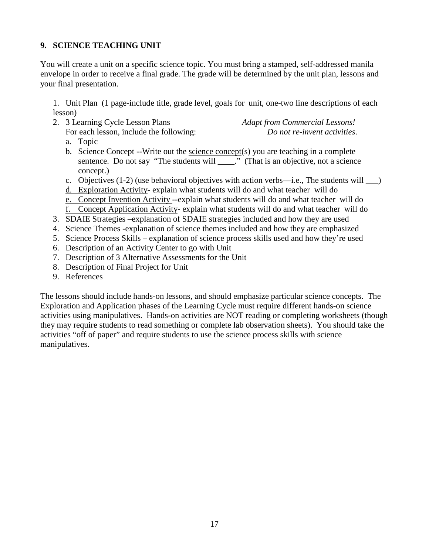## **9. SCIENCE TEACHING UNIT**

You will create a unit on a specific science topic. You must bring a stamped, self-addressed manila envelope in order to receive a final grade. The grade will be determined by the unit plan, lessons and your final presentation.

1. Unit Plan (1 page-include title, grade level, goals for unit, one-two line descriptions of each lesson)

2. 3 Learning Cycle Lesson Plans *Adapt from Commercial Lessons!*

For each lesson, include the following: *Do not re-invent activities*.

- a. Topic
- b. Science Concept --Write out the science concept(s) you are teaching in a complete sentence. Do not say "The students will \_\_\_\_." (That is an objective, not a science concept.)
- c. Objectives  $(1-2)$  (use behavioral objectives with action verbs—i.e., The students will  $\qquad)$
- d. Exploration Activity- explain what students will do and what teacher will do
- e. Concept Invention Activity --explain what students will do and what teacher will do f. Concept Application Activity- explain what students will do and what teacher will do
- 3. SDAIE Strategies –explanation of SDAIE strategies included and how they are used
- 4. Science Themes -explanation of science themes included and how they are emphasized
- 5. Science Process Skills explanation of science process skills used and how they're used
- 6. Description of an Activity Center to go with Unit
- 7. Description of 3 Alternative Assessments for the Unit
- 8. Description of Final Project for Unit
- 9. References

The lessons should include hands-on lessons, and should emphasize particular science concepts. The Exploration and Application phases of the Learning Cycle must require different hands-on science activities using manipulatives. Hands-on activities are NOT reading or completing worksheets (though they may require students to read something or complete lab observation sheets). You should take the activities "off of paper" and require students to use the science process skills with science manipulatives.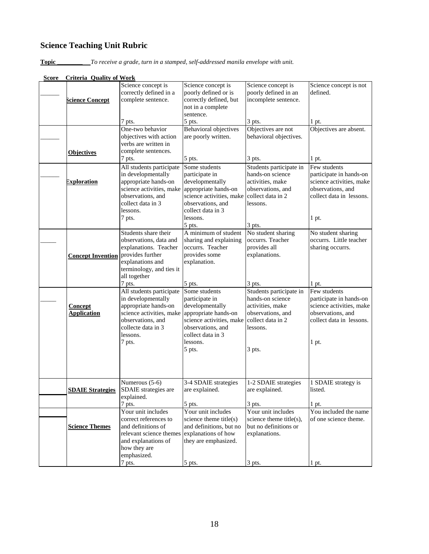# **Science Teaching Unit Rubric**

**Topic \_\_\_\_\_\_\_\_** *To receive a grade, turn in a stamped, self-addressed manila envelope with unit.*

| Score | <b>Criteria Quality of Work</b>      |                                                                                                                                                                               |                                                                                                                                                                                  |                                                                                                                                           |                                                                                                                                        |
|-------|--------------------------------------|-------------------------------------------------------------------------------------------------------------------------------------------------------------------------------|----------------------------------------------------------------------------------------------------------------------------------------------------------------------------------|-------------------------------------------------------------------------------------------------------------------------------------------|----------------------------------------------------------------------------------------------------------------------------------------|
|       | Science Concept                      | Science concept is<br>correctly defined in a<br>complete sentence.                                                                                                            | Science concept is<br>poorly defined or is<br>correctly defined, but<br>not in a complete                                                                                        | Science concept is<br>poorly defined in an<br>incomplete sentence.                                                                        | Science concept is not<br>defined.                                                                                                     |
|       |                                      | 7 pts.                                                                                                                                                                        | sentence.<br>5 pts.                                                                                                                                                              | 3 pts.                                                                                                                                    | 1 pt.                                                                                                                                  |
|       | <b>Objectives</b>                    | One-two behavior<br>objectives with action<br>verbs are written in<br>complete sentences.                                                                                     | <b>Behavioral objectives</b><br>are poorly written.                                                                                                                              | Objectives are not<br>behavioral objectives.<br>3 pts.                                                                                    | Objectives are absent.                                                                                                                 |
|       | <b>Exploration</b>                   | 7 pts.<br>All students participate<br>in developmentally<br>appropriate hands-on<br>science activities, make<br>observations, and<br>collect data in 3                        | 5 pts.<br>Some students<br>participate in<br>developmentally<br>appropriate hands-on<br>science activities, make<br>observations, and                                            | Students participate in<br>hands-on science<br>activities, make<br>observations, and<br>collect data in 2<br>lessons.                     | 1 pt.<br>Few students<br>participate in hands-on<br>science activities, make<br>observations, and<br>collect data in lessons.          |
|       |                                      | lessons.<br>7 pts.                                                                                                                                                            | collect data in 3<br>lessons.<br>5 pts.                                                                                                                                          | 3 pts.                                                                                                                                    | $1$ pt.                                                                                                                                |
|       | <b>Concept Invention</b>             | Students share their<br>observations, data and<br>explanations. Teacher<br>provides further<br>explanations and<br>terminology, and ties it<br>all together                   | A minimum of student<br>sharing and explaining<br>occurrs. Teacher<br>provides some<br>explanation.                                                                              | No student sharing<br>occurrs. Teacher<br>provides all<br>explanations.                                                                   | No student sharing<br>occurrs. Little teacher<br>sharing occurrs.                                                                      |
|       | <b>Concept</b><br><b>Application</b> | 7 pts.<br>All students participate<br>in developmentally<br>appropriate hands-on<br>science activities, make<br>observations, and<br>collecte data in 3<br>lessons.<br>7 pts. | 5 pts.<br>Some students<br>participate in<br>developmentally<br>appropriate hands-on<br>science activities, make<br>observations, and<br>collect data in 3<br>lessons.<br>5 pts. | 3 pts.<br>Students participate in<br>hands-on science<br>activities, make<br>observations, and<br>collect data in 2<br>lessons.<br>3 pts. | 1 pt.<br>Few students<br>participate in hands-on<br>science activities, make<br>observations, and<br>collect data in lessons.<br>1 pt. |
|       | <b>SDAIE Strategies</b>              | Numerous $(5-6)$<br>SDAIE strategies are<br>explained.                                                                                                                        | 3-4 SDAIE strategies<br>are explained.                                                                                                                                           | 1-2 SDAIE strategies<br>are explained.                                                                                                    | 1 SDAIE strategy is<br>listed.                                                                                                         |
|       | <b>Science Themes</b>                | 7 pts.<br>Your unit includes<br>correct references to<br>and definitions of<br>relevant science themes<br>and explanations of<br>how they are<br>emphasized.                  | 5 pts.<br>Your unit includes<br>science theme title(s)<br>and definitions, but no<br>explanations of how<br>they are emphasized.                                                 | 3 pts.<br>Your unit includes<br>science theme title(s).<br>but no definitions or<br>explanations.                                         | $1$ pt.<br>You included the name<br>of one science theme.                                                                              |
|       |                                      | 7 pts.                                                                                                                                                                        | 5 pts.                                                                                                                                                                           | 3 pts.                                                                                                                                    | 1 pt.                                                                                                                                  |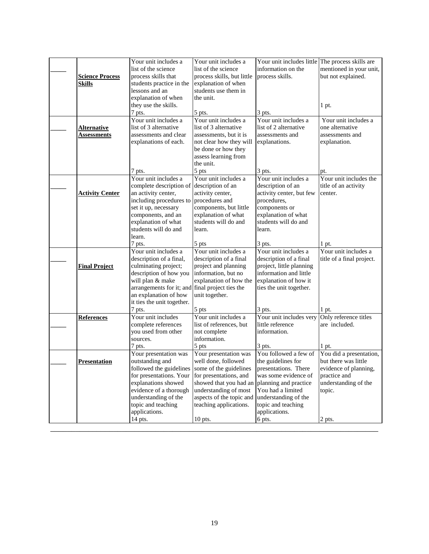|                        | Your unit includes a                           | Your unit includes a       | Your unit includes little | The process skills are    |
|------------------------|------------------------------------------------|----------------------------|---------------------------|---------------------------|
|                        | list of the science                            | list of the science        | information on the        | mentioned in your unit,   |
| <b>Science Process</b> | process skills that                            | process skills, but little | process skills.           | but not explained.        |
| <b>Skills</b>          | students practice in the                       | explanation of when        |                           |                           |
|                        | lessons and an                                 | students use them in       |                           |                           |
|                        | explanation of when                            | the unit.                  |                           |                           |
|                        | they use the skills.                           |                            |                           | $1$ pt.                   |
|                        | 7 pts.                                         | 5 pts.                     | 3 pts.                    |                           |
|                        | Your unit includes a                           | Your unit includes a       | Your unit includes a      | Your unit includes a      |
| <b>Alternative</b>     | list of 3 alternative                          | list of 3 alternative      | list of 2 alternative     | one alternative           |
| <b>Assessments</b>     | assessments and clear                          | assessments, but it is     | assessments and           | assessments and           |
|                        | explanations of each.                          | not clear how they will    | explanations.             | explanation.              |
|                        |                                                | be done or how they        |                           |                           |
|                        |                                                | assess learning from       |                           |                           |
|                        |                                                | the unit.                  |                           |                           |
|                        | 7 pts.                                         | 5 pts                      | 3 pts.                    | pt.                       |
|                        | Your unit includes a                           | Your unit includes a       | Your unit includes a      | Your unit includes the    |
|                        | complete description of                        | description of an          | description of an         | title of an activity      |
| <b>Activity Center</b> | an activity center,                            | activity center,           | activity center, but few  | center.                   |
|                        | including procedures to                        | procedures and             | procedures,               |                           |
|                        | set it up, necessary                           | components, but little     | components or             |                           |
|                        | components, and an                             | explanation of what        | explanation of what       |                           |
|                        | explanation of what                            | students will do and       | students will do and      |                           |
|                        | students will do and                           | learn.                     | learn.                    |                           |
|                        | learn.                                         |                            |                           |                           |
|                        | 7 pts.                                         | 5 pts                      | 3 pts.                    | 1 pt.                     |
|                        | Your unit includes a                           | Your unit includes a       | Your unit includes a      | Your unit includes a      |
|                        | description of a final,                        | description of a final     | description of a final    | title of a final project. |
| <b>Final Project</b>   | culminating project;                           | project and planning       | project, little planning  |                           |
|                        | description of how you                         | information, but no        | information and little    |                           |
|                        | will plan & make                               | explanation of how the     | explanation of how it     |                           |
|                        | arrangements for it; and                       | final project ties the     | ties the unit together.   |                           |
|                        | an explanation of how                          | unit together.             |                           |                           |
|                        | it ties the unit together.                     |                            |                           |                           |
|                        | 7 pts.                                         | 5 pts                      | 3 pts.                    | $1$ pt.                   |
| <b>References</b>      | Your unit includes                             | Your unit includes a       | Your unit includes very   | Only reference titles     |
|                        | complete references                            | list of references, but    | little reference          | are included.             |
|                        | you used from other                            | not complete               | information.              |                           |
|                        | sources.                                       | information.               |                           |                           |
|                        | 7 pts.                                         | 5 pts                      | 3 pts.                    | 1 pt.                     |
|                        | Your presentation was                          | Your presentation was      | You followed a few of     | You did a presentation,   |
| <b>Presentation</b>    | outstanding and                                | well done, followed        | the guidelines for        | but there was little      |
|                        | followed the guidelines some of the guidelines |                            | presentations. There      | evidence of planning,     |
|                        | for presentations. Your for presentations, and |                            | was some evidence of      | practice and              |
|                        | explanations showed                            | showed that you had an     | planning and practice     | understanding of the      |
|                        | evidence of a thorough                         | understanding of most      | You had a limited         | topic.                    |
|                        | understanding of the                           | aspects of the topic and   | understanding of the      |                           |
|                        | topic and teaching                             | teaching applications.     | topic and teaching        |                           |
|                        | applications.                                  |                            | applications.             |                           |
|                        | 14 pts.                                        | $10$ pts.                  | 6 pts.                    | 2 pts.                    |
|                        |                                                |                            |                           |                           |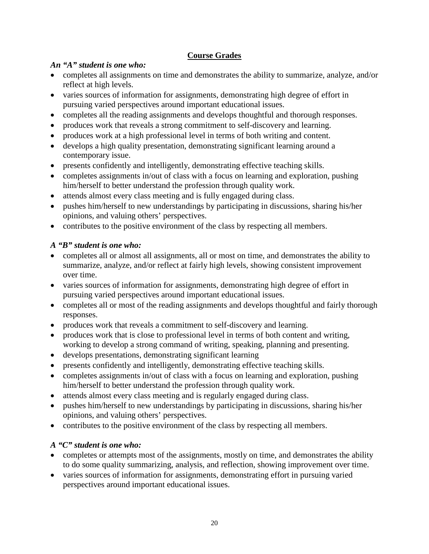# **Course Grades**

# *An "A" student is one who:*

- completes all assignments on time and demonstrates the ability to summarize, analyze, and/or reflect at high levels.
- varies sources of information for assignments, demonstrating high degree of effort in pursuing varied perspectives around important educational issues.
- completes all the reading assignments and develops thoughtful and thorough responses.
- produces work that reveals a strong commitment to self-discovery and learning.
- produces work at a high professional level in terms of both writing and content.
- develops a high quality presentation, demonstrating significant learning around a contemporary issue.
- presents confidently and intelligently, demonstrating effective teaching skills.
- completes assignments in/out of class with a focus on learning and exploration, pushing him/herself to better understand the profession through quality work.
- attends almost every class meeting and is fully engaged during class.
- pushes him/herself to new understandings by participating in discussions, sharing his/her opinions, and valuing others' perspectives.
- contributes to the positive environment of the class by respecting all members.

# *A "B" student is one who:*

- completes all or almost all assignments, all or most on time, and demonstrates the ability to summarize, analyze, and/or reflect at fairly high levels, showing consistent improvement over time.
- varies sources of information for assignments, demonstrating high degree of effort in pursuing varied perspectives around important educational issues.
- completes all or most of the reading assignments and develops thoughtful and fairly thorough responses.
- produces work that reveals a commitment to self-discovery and learning.
- produces work that is close to professional level in terms of both content and writing, working to develop a strong command of writing, speaking, planning and presenting.
- develops presentations, demonstrating significant learning
- presents confidently and intelligently, demonstrating effective teaching skills.
- completes assignments in/out of class with a focus on learning and exploration, pushing him/herself to better understand the profession through quality work.
- attends almost every class meeting and is regularly engaged during class.
- pushes him/herself to new understandings by participating in discussions, sharing his/her opinions, and valuing others' perspectives.
- contributes to the positive environment of the class by respecting all members.

# *A "C" student is one who:*

- completes or attempts most of the assignments, mostly on time, and demonstrates the ability to do some quality summarizing, analysis, and reflection, showing improvement over time.
- varies sources of information for assignments, demonstrating effort in pursuing varied perspectives around important educational issues.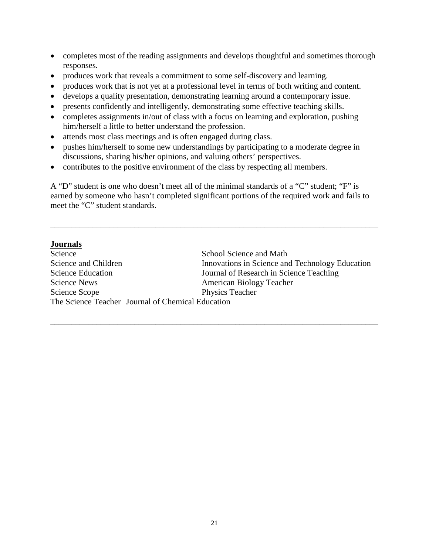- completes most of the reading assignments and develops thoughtful and sometimes thorough responses.
- produces work that reveals a commitment to some self-discovery and learning.
- produces work that is not yet at a professional level in terms of both writing and content.
- develops a quality presentation, demonstrating learning around a contemporary issue.
- presents confidently and intelligently, demonstrating some effective teaching skills.
- completes assignments in/out of class with a focus on learning and exploration, pushing him/herself a little to better understand the profession.
- attends most class meetings and is often engaged during class.
- pushes him/herself to some new understandings by participating to a moderate degree in discussions, sharing his/her opinions, and valuing others' perspectives.
- contributes to the positive environment of the class by respecting all members.

A "D" student is one who doesn't meet all of the minimal standards of a "C" student; "F" is earned by someone who hasn't completed significant portions of the required work and fails to meet the "C" student standards.

\_\_\_\_\_\_\_\_\_\_\_\_\_\_\_\_\_\_\_\_\_\_\_\_\_\_\_\_\_\_\_\_\_\_\_\_\_\_\_\_\_\_\_\_\_\_\_\_\_\_\_\_\_\_\_\_\_\_\_\_\_\_\_\_\_\_\_\_\_\_\_\_\_\_\_\_\_\_

## **Journals**

| Science                  | School Science and Math                           |
|--------------------------|---------------------------------------------------|
| Science and Children     | Innovations in Science and Technology Education   |
| <b>Science Education</b> | Journal of Research in Science Teaching           |
| <b>Science News</b>      | American Biology Teacher                          |
| Science Scope            | Physics Teacher                                   |
|                          | The Science Teacher Journal of Chemical Education |